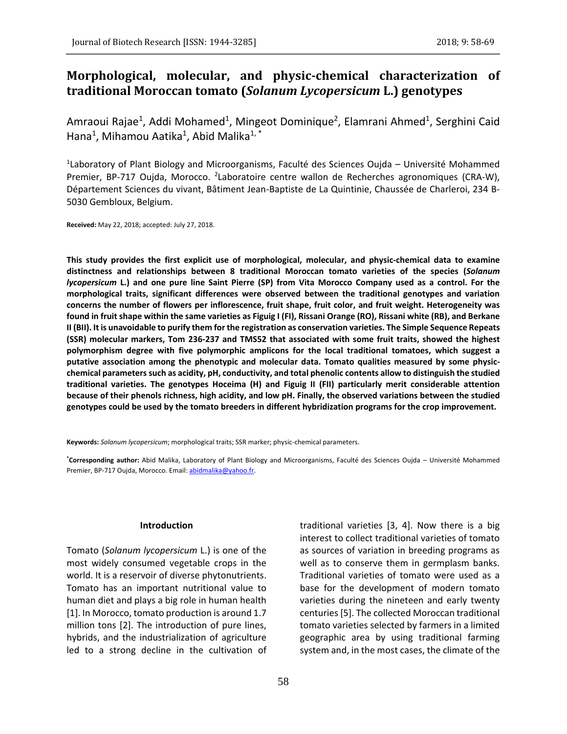# **Morphological, molecular, and physic-chemical characterization of traditional Moroccan tomato (***Solanum Lycopersicum* **L.) genotypes**

Amraoui Rajae<sup>1</sup>, Addi Mohamed<sup>1</sup>, Mingeot Dominique<sup>2</sup>, Elamrani Ahmed<sup>1</sup>, Serghini Caid Hana<sup>1</sup>, Mihamou Aatika<sup>1</sup>, Abid Malika<sup>1, \*</sup>

<sup>1</sup> Laboratory of Plant Biology and Microorganisms, Faculté des Sciences Oujda – Université Mohammed Premier, BP-717 Oujda, Morocco. <sup>2</sup> Laboratoire centre wallon de Recherches agronomiques (CRA-W), Département Sciences du vivant, Bâtiment Jean-Baptiste de La Quintinie, Chaussée de Charleroi, 234 B-5030 Gembloux, Belgium.

**Received:** May 22, 2018; accepted: July 27, 2018.

**This study provides the first explicit use of morphological, molecular, and physic-chemical data to examine distinctness and relationships between 8 traditional Moroccan tomato varieties of the species (***Solanum lycopersicum* **L.) and one pure line Saint Pierre (SP) from Vita Morocco Company used as a control. For the morphological traits, significant differences were observed between the traditional genotypes and variation concerns the number of flowers per inflorescence, fruit shape, fruit color, and fruit weight. Heterogeneity was found in fruit shape within the same varieties as Figuig I (FI), Rissani Orange (RO), Rissani white (RB), and Berkane II (BII). It is unavoidable to purify them for the registration as conservation varieties. The Simple Sequence Repeats (SSR) molecular markers, Tom 236-237 and TMS52 that associated with some fruit traits, showed the highest polymorphism degree with five polymorphic amplicons for the local traditional tomatoes, which suggest a putative association among the phenotypic and molecular data. Tomato qualities measured by some physicchemical parameters such as acidity, pH, conductivity, and total phenolic contents allow to distinguish the studied traditional varieties. The genotypes Hoceima (H) and Figuig II (FII) particularly merit considerable attention because of their phenols richness, high acidity, and low pH. Finally, the observed variations between the studied genotypes could be used by the tomato breeders in different hybridization programs for the crop improvement.**

**Keywords:** *Solanum lycopersicum*; morphological traits; SSR marker; physic-chemical parameters.

**\*Corresponding author:** Abid Malika, Laboratory of Plant Biology and Microorganisms, Faculté des Sciences Oujda – Université Mohammed Premier, BP-717 Oujda, Morocco. Email: [abidmalika@yahoo.fr.](mailto:abidmalika@yahoo.fr)

### **Introduction**

Tomato (*Solanum lycopersicum* L.) is one of the most widely consumed vegetable crops in the world. It is a reservoir of diverse phytonutrients. Tomato has an important nutritional value to human diet and plays a big role in human health [1]. In Morocco, tomato production is around 1.7 million tons [2]. The introduction of pure lines, hybrids, and the industrialization of agriculture led to a strong decline in the cultivation of traditional varieties [3, 4]. Now there is a big interest to collect traditional varieties of tomato as sources of variation in breeding programs as well as to conserve them in germplasm banks. Traditional varieties of tomato were used as a base for the development of modern tomato varieties during the nineteen and early twenty centuries [5]. The collected Moroccan traditional tomato varieties selected by farmers in a limited geographic area by using traditional farming system and, in the most cases, the climate of the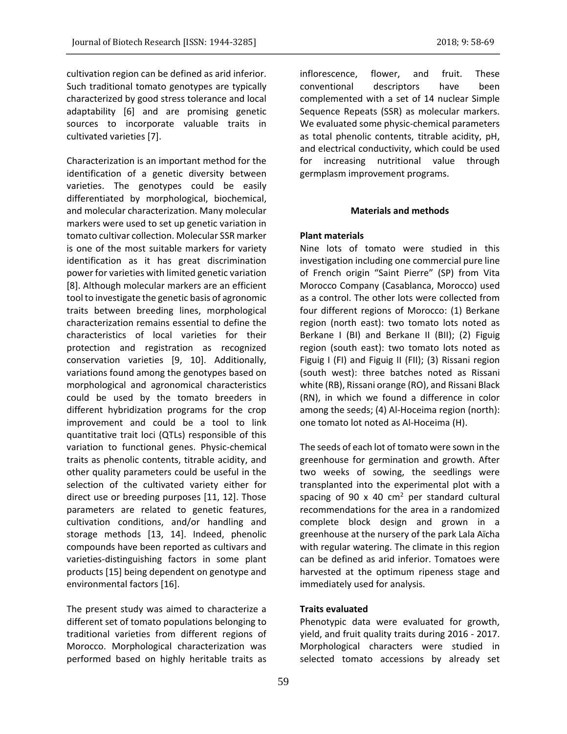cultivation region can be defined as arid inferior. Such traditional tomato genotypes are typically characterized by good stress tolerance and local adaptability [6] and are promising genetic sources to incorporate valuable traits in cultivated varieties [7].

Characterization is an important method for the identification of a genetic diversity between varieties. The genotypes could be easily differentiated by morphological, biochemical, and molecular characterization. Many molecular markers were used to set up genetic variation in tomato cultivar collection. Molecular SSR marker is one of the most suitable markers for variety identification as it has great discrimination power for varieties with limited genetic variation [8]. Although molecular markers are an efficient tool to investigate the genetic basis of agronomic traits between breeding lines, morphological characterization remains essential to define the characteristics of local varieties for their protection and registration as recognized conservation varieties [9, 10]. Additionally, variations found among the genotypes based on morphological and agronomical characteristics could be used by the tomato breeders in different hybridization programs for the crop improvement and could be a tool to link quantitative trait loci (QTLs) responsible of this variation to functional genes. Physic-chemical traits as phenolic contents, titrable acidity, and other quality parameters could be useful in the selection of the cultivated variety either for direct use or breeding purposes [11, 12]. Those parameters are related to genetic features, cultivation conditions, and/or handling and storage methods [13, 14]. Indeed, phenolic compounds have been reported as cultivars and varieties-distinguishing factors in some plant products [15] being dependent on genotype and environmental factors [16].

The present study was aimed to characterize a different set of tomato populations belonging to traditional varieties from different regions of Morocco. Morphological characterization was performed based on highly heritable traits as inflorescence, flower, and fruit. These conventional descriptors have been complemented with a set of 14 nuclear Simple Sequence Repeats (SSR) as molecular markers. We evaluated some physic-chemical parameters as total phenolic contents, titrable acidity, pH, and electrical conductivity, which could be used for increasing nutritional value through germplasm improvement programs.

### **Materials and methods**

# **Plant materials**

Nine lots of tomato were studied in this investigation including one commercial pure line of French origin "Saint Pierre" (SP) from Vita Morocco Company (Casablanca, Morocco) used as a control. The other lots were collected from four different regions of Morocco: (1) Berkane region (north east): two tomato lots noted as Berkane I (BI) and Berkane II (BII); (2) Figuig region (south east): two tomato lots noted as Figuig I (FI) and Figuig II (FII); (3) Rissani region (south west): three batches noted as Rissani white (RB), Rissani orange (RO), and Rissani Black (RN), in which we found a difference in color among the seeds; (4) Al-Hoceima region (north): one tomato lot noted as Al-Hoceima (H).

The seeds of each lot of tomato were sown in the greenhouse for germination and growth. After two weeks of sowing, the seedlings were transplanted into the experimental plot with a spacing of 90 x 40  $\text{cm}^2$  per standard cultural recommendations for the area in a randomized complete block design and grown in a greenhouse at the nursery of the park Lala Aïcha with regular watering. The climate in this region can be defined as arid inferior. Tomatoes were harvested at the optimum ripeness stage and immediately used for analysis.

# **Traits evaluated**

Phenotypic data were evaluated for growth, yield, and fruit quality traits during 2016 - 2017. Morphological characters were studied in selected tomato accessions by already set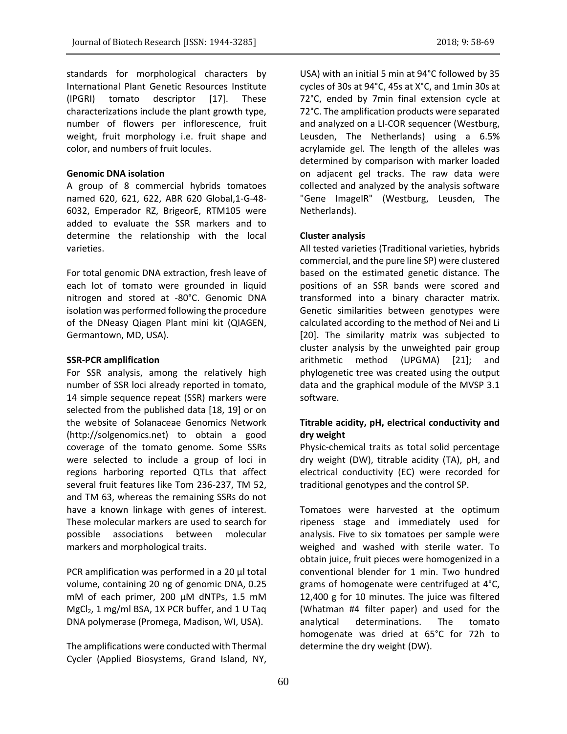standards for morphological characters by International Plant Genetic Resources Institute (IPGRI) tomato descriptor [17]. These characterizations include the plant growth type, number of flowers per inflorescence, fruit weight, fruit morphology i.e. fruit shape and color, and numbers of fruit locules.

# **Genomic DNA isolation**

A group of 8 commercial hybrids tomatoes named 620, 621, 622, ABR 620 Global,1-G-48- 6032, Emperador RZ, BrigeorE, RTM105 were added to evaluate the SSR markers and to determine the relationship with the local varieties.

For total genomic DNA extraction, fresh leave of each lot of tomato were grounded in liquid nitrogen and stored at -80°C. Genomic DNA isolation was performed following the procedure of the DNeasy Qiagen Plant mini kit (QIAGEN, Germantown, MD, USA).

### **SSR-PCR amplification**

For SSR analysis, among the relatively high number of SSR loci already reported in tomato, 14 simple sequence repeat (SSR) markers were selected from the published data [18, 19] or on the website of Solanaceae Genomics Network (http://solgenomics.net) to obtain a good coverage of the tomato genome. Some SSRs were selected to include a group of loci in regions harboring reported QTLs that affect several fruit features like Tom 236-237, TM 52, and TM 63, whereas the remaining SSRs do not have a known linkage with genes of interest. These molecular markers are used to search for possible associations between molecular markers and morphological traits.

PCR amplification was performed in a 20 µl total volume, containing 20 ng of genomic DNA, 0.25 mM of each primer, 200 µM dNTPs, 1.5 mM  $MgCl<sub>2</sub>$ , 1 mg/ml BSA, 1X PCR buffer, and 1 U Taq DNA polymerase (Promega, Madison, WI, USA).

The amplifications were conducted with Thermal Cycler (Applied Biosystems, Grand Island, NY,

USA) with an initial 5 min at 94°C followed by 35 cycles of 30s at 94°C, 45s at X°C, and 1min 30s at 72°C, ended by 7min final extension cycle at 72°C. The amplification products were separated and analyzed on a LI-COR sequencer (Westburg, Leusden, The Netherlands) using a 6.5% acrylamide gel. The length of the alleles was determined by comparison with marker loaded on adjacent gel tracks. The raw data were collected and analyzed by the analysis software "Gene ImageIR" (Westburg, Leusden, The Netherlands).

# **Cluster analysis**

All tested varieties (Traditional varieties, hybrids commercial, and the pure line SP) were clustered based on the estimated genetic distance. The positions of an SSR bands were scored and transformed into a binary character matrix. Genetic similarities between genotypes were calculated according to the method of Nei and Li [20]. The similarity matrix was subjected to cluster analysis by the unweighted pair group arithmetic method (UPGMA) [21]; and phylogenetic tree was created using the output data and the graphical module of the MVSP 3.1 software.

# **Titrable acidity, pH, electrical conductivity and dry weight**

Physic-chemical traits as total solid percentage dry weight (DW), titrable acidity (TA), pH, and electrical conductivity (EC) were recorded for traditional genotypes and the control SP.

Tomatoes were harvested at the optimum ripeness stage and immediately used for analysis. Five to six tomatoes per sample were weighed and washed with sterile water. To obtain juice, fruit pieces were homogenized in a conventional blender for 1 min. Two hundred grams of homogenate were centrifuged at 4°C, 12,400 g for 10 minutes. The juice was filtered (Whatman #4 filter paper) and used for the analytical determinations. The tomato homogenate was dried at 65°C for 72h to determine the dry weight (DW).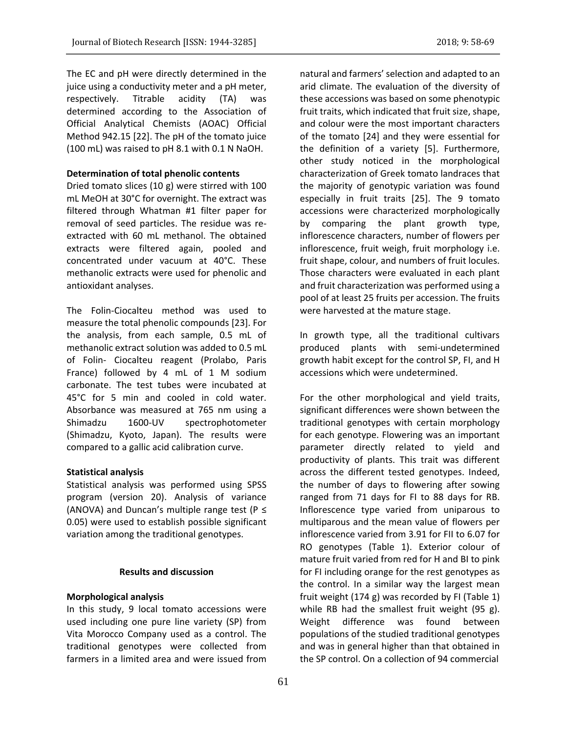The EC and pH were directly determined in the juice using a conductivity meter and a pH meter, respectively. Titrable acidity (TA) was determined according to the Association of Official Analytical Chemists (AOAC) Official Method 942.15 [22]. The pH of the tomato juice (100 mL) was raised to pH 8.1 with 0.1 N NaOH.

# **Determination of total phenolic contents**

Dried tomato slices (10 g) were stirred with 100 mL MeOH at 30°C for overnight. The extract was filtered through Whatman #1 filter paper for removal of seed particles. The residue was reextracted with 60 mL methanol. The obtained extracts were filtered again, pooled and concentrated under vacuum at 40°C. These methanolic extracts were used for phenolic and antioxidant analyses.

The Folin-Ciocalteu method was used to measure the total phenolic compounds [23]. For the analysis, from each sample, 0.5 mL of methanolic extract solution was added to 0.5 mL of Folin- Ciocalteu reagent (Prolabo, Paris France) followed by 4 mL of 1 M sodium carbonate. The test tubes were incubated at 45°C for 5 min and cooled in cold water. Absorbance was measured at 765 nm using a Shimadzu 1600-UV spectrophotometer (Shimadzu, Kyoto, Japan). The results were compared to a gallic acid calibration curve.

### **Statistical analysis**

Statistical analysis was performed using SPSS program (version 20). Analysis of variance (ANOVA) and Duncan's multiple range test ( $P \leq$ 0.05) were used to establish possible significant variation among the traditional genotypes.

# **Results and discussion**

### **Morphological analysis**

In this study, 9 local tomato accessions were used including one pure line variety (SP) from Vita Morocco Company used as a control. The traditional genotypes were collected from farmers in a limited area and were issued from natural and farmers' selection and adapted to an arid climate. The evaluation of the diversity of these accessions was based on some phenotypic fruit traits, which indicated that fruit size, shape, and colour were the most important characters of the tomato [24] and they were essential for the definition of a variety [5]. Furthermore, other study noticed in the morphological characterization of Greek tomato landraces that the majority of genotypic variation was found especially in fruit traits [25]. The 9 tomato accessions were characterized morphologically by comparing the plant growth type, inflorescence characters, number of flowers per inflorescence, fruit weigh, fruit morphology i.e. fruit shape, colour, and numbers of fruit locules. Those characters were evaluated in each plant and fruit characterization was performed using a pool of at least 25 fruits per accession. The fruits were harvested at the mature stage.

In growth type, all the traditional cultivars produced plants with semi-undetermined growth habit except for the control SP, FI, and H accessions which were undetermined.

For the other morphological and yield traits, significant differences were shown between the traditional genotypes with certain morphology for each genotype. Flowering was an important parameter directly related to yield and productivity of plants. This trait was different across the different tested genotypes. Indeed, the number of days to flowering after sowing ranged from 71 days for FI to 88 days for RB. Inflorescence type varied from uniparous to multiparous and the mean value of flowers per inflorescence varied from 3.91 for FII to 6.07 for RO genotypes (Table 1). Exterior colour of mature fruit varied from red for H and BI to pink for FI including orange for the rest genotypes as the control. In a similar way the largest mean fruit weight (174 g) was recorded by FI (Table 1) while RB had the smallest fruit weight (95 g). Weight difference was found between populations of the studied traditional genotypes and was in general higher than that obtained in the SP control. On a collection of 94 commercial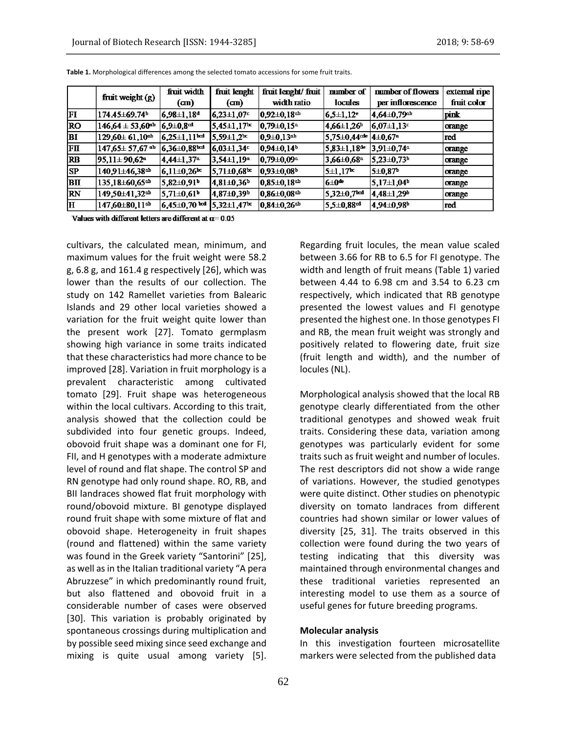|                         | fruit weight (g)                 | fruit width                | fruit lenght                  | fruit lenght/fruit           | mumber of                                                | number of flowers              | external ripe |
|-------------------------|----------------------------------|----------------------------|-------------------------------|------------------------------|----------------------------------------------------------|--------------------------------|---------------|
|                         |                                  | (cm)                       | (c <sub>m</sub> )             | width ratio                  | locules                                                  | per inflorescence              | fruit color   |
| FI                      | 174.45±69.74b                    | $6,98\pm1,18^d$            | $6,23\pm1,07$                 | $ 0,92\pm0,18$ ch            | $6,5\pm1,12$ <sup>e</sup>                                | $4,64\pm0,79$ <sup>ab</sup>    | pink          |
| <b>RO</b>               | $146,64 \pm 53,60$ <sup>ab</sup> | $6,9\pm0,8$ <sup>cd</sup>  | $5,45 \pm 1,17$ <sup>bc</sup> | $0.79 \pm 0.15$ <sup>a</sup> | $4,66 \pm 1,26$                                          | $\left  6,07 \pm 1,13 \right $ | orange        |
| BI                      | $129,60 \pm 61,10$ <sup>th</sup> | $6,25\pm1,11$ bod          | $5.59 \pm 1.2$                | $0,9\pm0,13$ ab              | $5,75 \pm 0,44$ <sup>cde</sup> $4 \pm 0,67$ <sup>a</sup> |                                | <b>Ired</b>   |
| FП                      | $147,65 \pm 57,67$ ab            | $6,36\pm0.88$ bol          | $6,03\pm1,34$ <sup>c</sup>    | $ 0.94\pm0.14$ <sup>b</sup>  | $5,83 \pm 1,18$ de                                       | $3.91 \pm 0.74$ <sup>-1</sup>  | orange        |
| <b>RB</b>               | $95,11 \pm 90,62$ <sup>a</sup>   | $4,44\pm1,37$ <sup>a</sup> | $3,54\pm1,19^a$               | $0.79 \pm 0.09$ <sup>a</sup> | $3,66 \pm 0,68$ <sup>a</sup>                             | $5,23\pm0,73$ <sup>b</sup>     | orange        |
| <b>SP</b>               | $140,91 \pm 46,38$ ch            | $6,11\pm0.26$              | $5,71\pm0,68$                 | $0.93 \pm 0.08$              | $5 \pm 1.17$                                             | 5±0,87                         | orange        |
| BП                      | $135,18 \pm 60,65$ co            | $5,82\pm0,91$              | $4,81 \pm 0,36$ <sup>b</sup>  | $0,85\pm0,18$ ch             | $6 \pm 0$ de                                             | $ 5,17\pm1,04$ <sup>b</sup>    | orange        |
| <b>RN</b>               | 149,50±41,32±                    | $5,71\pm0.61^b$            | 4,87±0,39 <sup>b</sup>        | $ 0.86 \pm 0.08$ ch          | $5,32\pm0,7$ bcd                                         | $ 4,48\pm1,29$                 | orange        |
| $\overline{\mathbf{H}}$ | $147,60\pm80,11$ <sup>th</sup>   | $6,45\pm0,70$ bod          | $5,32 \pm 1,47$               | $0.84 \pm 0.26$ ch           | $5.5 \pm 0.88$ <sup>cd</sup>                             | 4.94±0.98                      | red           |

**Table 1.** Morphological differences among the selected tomato accessions for some fruit traits.

Values with different letters are different at  $\alpha$  = 0.05

cultivars, the calculated mean, minimum, and maximum values for the fruit weight were 58.2 g, 6.8 g, and 161.4 g respectively [26], which was lower than the results of our collection. The study on 142 Ramellet varieties from Balearic Islands and 29 other local varieties showed a variation for the fruit weight quite lower than the present work [27]. Tomato germplasm showing high variance in some traits indicated that these characteristics had more chance to be improved [28]. Variation in fruit morphology is a prevalent characteristic among cultivated tomato [29]. Fruit shape was heterogeneous within the local cultivars. According to this trait, analysis showed that the collection could be subdivided into four genetic groups. Indeed, obovoid fruit shape was a dominant one for FI, FII, and H genotypes with a moderate admixture level of round and flat shape. The control SP and RN genotype had only round shape. RO, RB, and BII landraces showed flat fruit morphology with round/obovoid mixture. BI genotype displayed round fruit shape with some mixture of flat and obovoid shape. Heterogeneity in fruit shapes (round and flattened) within the same variety was found in the Greek variety "Santorini" [25], as well as in the Italian traditional variety "A pera Abruzzese" in which predominantly round fruit, but also flattened and obovoid fruit in a considerable number of cases were observed [30]. This variation is probably originated by spontaneous crossings during multiplication and by possible seed mixing since seed exchange and mixing is quite usual among variety [5]. Regarding fruit locules, the mean value scaled between 3.66 for RB to 6.5 for FI genotype. The width and length of fruit means (Table 1) varied between 4.44 to 6.98 cm and 3.54 to 6.23 cm respectively, which indicated that RB genotype presented the lowest values and FI genotype presented the highest one. In those genotypes FI and RB, the mean fruit weight was strongly and positively related to flowering date, fruit size (fruit length and width), and the number of locules (NL).

Morphological analysis showed that the local RB genotype clearly differentiated from the other traditional genotypes and showed weak fruit traits. Considering these data, variation among genotypes was particularly evident for some traits such as fruit weight and number of locules. The rest descriptors did not show a wide range of variations. However, the studied genotypes were quite distinct. Other studies on phenotypic diversity on tomato landraces from different countries had shown similar or lower values of diversity [25, 31]. The traits observed in this collection were found during the two years of testing indicating that this diversity was maintained through environmental changes and these traditional varieties represented an interesting model to use them as a source of useful genes for future breeding programs.

### **Molecular analysis**

In this investigation fourteen microsatellite markers were selected from the published data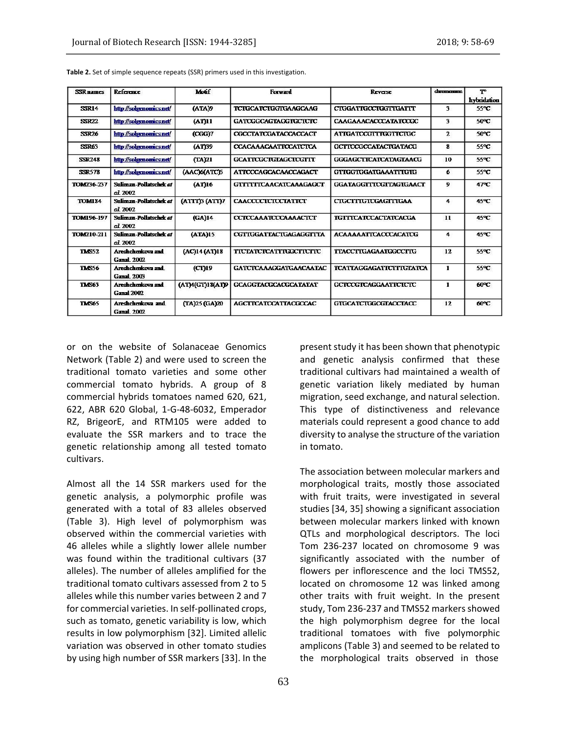| <b>SSR</b> names | <b>Reference</b>                       | Motif            | <b>Forward</b>                | <b>Reverse</b>                | channosume   | To<br>hybridation |
|------------------|----------------------------------------|------------------|-------------------------------|-------------------------------|--------------|-------------------|
| <b>SSR14</b>     | http://solgenomics.net/                | (ATA)9           | <b>TCTGCATCTGGTGAAGCAAG</b>   | <b>CIGGATIGCCIGGTIGATTT</b>   | 3            | 55°C              |
| <b>SSR22</b>     | http://solgenomics.net/                | (AT)11           | <b>GATCGGCAGTAGGTGCTCTC</b>   | <b>CAAGAAACACCCATATCCGC</b>   | 3            | 50°C              |
| <b>SSR26</b>     | http://solgenomics.net/                | (CGG)7           | CGCCTATCGATACCACCACT          | <b>ATIGATCCGTTTGGTTCTGC</b>   | $\mathbf{z}$ | 50°C              |
| <b>SSR63</b>     | http://solgenomics.net/                | (AT)39           | <b>CCACAAACAATTCCATCTCA</b>   | <b>GCTTCCGCCATACTGATACG</b>   | 8            | 55°C              |
| <b>SSR248</b>    | http://solgenomics.net/                | (TA)21           | <b>GCATTCGCTGTAGCTCGTTT</b>   | <b>GGGAGCTTCATCATAGTAACG</b>  | 10           | 55°C              |
| <b>SSR578</b>    | http://solgenomics.net/                | (ААС)6(АТС)5     | <b>ATTCCCAGCACAACCAGACT</b>   | <b>GTTGGTGGATGAAATTTGTG</b>   | 6            | 55°C              |
| TOM236-237       | Suliman-Pollatschek et<br>al 2002      | (AT)16           | <b>GTTTTTTCAACATCAAAGAGCT</b> | <b>GGATAGGTTTCGTTAGTGAACT</b> | 9            | 47°C              |
| <b>TOM184</b>    | Suliman-Pollatschek et<br>al 2002      | (ATTT)3 (ATT)7   | <b>CAACCCCTCTCCTATTCT</b>     | <b>CIGCITIGICGAGITIGAA</b>    | 4            | 45°C              |
| TOM196-197       | Suliman-Pollatschek et<br>al 2002      | (GA)14           | <b>CCTCCAAATCCCAAAACTCT</b>   | <b>TGTTTCATCCACTATCACGA</b>   | 11           | 45°C              |
| TOM210-211       | Suliman-Pollatschek at<br>al. 2002     | (ATA)15          | <b>CGTTGGATTACTGAGAGGTTTA</b> | <b>ACAAAAATTCACCCACATCG</b>   | 4            | 45°C              |
| <b>TMS52</b>     | Areshchenkova and<br>Ganal 2002        | (AC)14 (AT)18    | <b>TICTATCICATTIGGCTTCTTC</b> | <b>TTACCTTGAGAATGGCCTTG</b>   | 12           | 55°C              |
| <b>TMS56</b>     | Areshchenkova and<br><b>Ganal</b> 2003 | (CT)19           | <b>GATCTCAAAGGATGAACAATAC</b> | TCATTAGGAGATTCITTGTATCA       | 1            | 55°C              |
| <b>TMS63</b>     | Areshchenkova and<br><b>Ganal 2002</b> | (AT)4(GT)18(AT)9 | <b>GCAGGTACGCACGCATATAT</b>   | <b>GCTCCGTCAGGAATTCTCTC</b>   | 1            | 60°C              |
| <b>TMS65</b>     | Areshchenkova and<br><b>Ganal</b> 2002 | (TA)25 (GA)20    | <b>AGCTTCATCCATTACGCCAC</b>   | GTGCATCTGGCGTACCTACC          | 12           | 60°C              |

**Table 2.** Set of simple sequence repeats (SSR) primers used in this investigation.

or on the website of Solanaceae Genomics Network (Table 2) and were used to screen the traditional tomato varieties and some other commercial tomato hybrids. A group of 8 commercial hybrids tomatoes named 620, 621, 622, ABR 620 Global, 1-G-48-6032, Emperador RZ, BrigeorE, and RTM105 were added to evaluate the SSR markers and to trace the genetic relationship among all tested tomato cultivars.

Almost all the 14 SSR markers used for the genetic analysis, a polymorphic profile was generated with a total of 83 alleles observed (Table 3). High level of polymorphism was observed within the commercial varieties with 46 alleles while a slightly lower allele number was found within the traditional cultivars (37 alleles). The number of alleles amplified for the traditional tomato cultivars assessed from 2 to 5 alleles while this number varies between 2 and 7 for commercial varieties. In self-pollinated crops, such as tomato, genetic variability is low, which results in low polymorphism [32]. Limited allelic variation was observed in other tomato studies by using high number of SSR markers [33]. In the present study it has been shown that phenotypic and genetic analysis confirmed that these traditional cultivars had maintained a wealth of genetic variation likely mediated by human migration, seed exchange, and natural selection. This type of distinctiveness and relevance materials could represent a good chance to add diversity to analyse the structure of the variation in tomato.

The association between molecular markers and morphological traits, mostly those associated with fruit traits, were investigated in several studies [34, 35] showing a significant association between molecular markers linked with known QTLs and morphological descriptors. The loci Tom 236-237 located on chromosome 9 was significantly associated with the number of flowers per inflorescence and the loci TMS52, located on chromosome 12 was linked among other traits with fruit weight. In the present study, Tom 236-237 and TMS52 markers showed the high polymorphism degree for the local traditional tomatoes with five polymorphic amplicons (Table 3) and seemed to be related to the morphological traits observed in those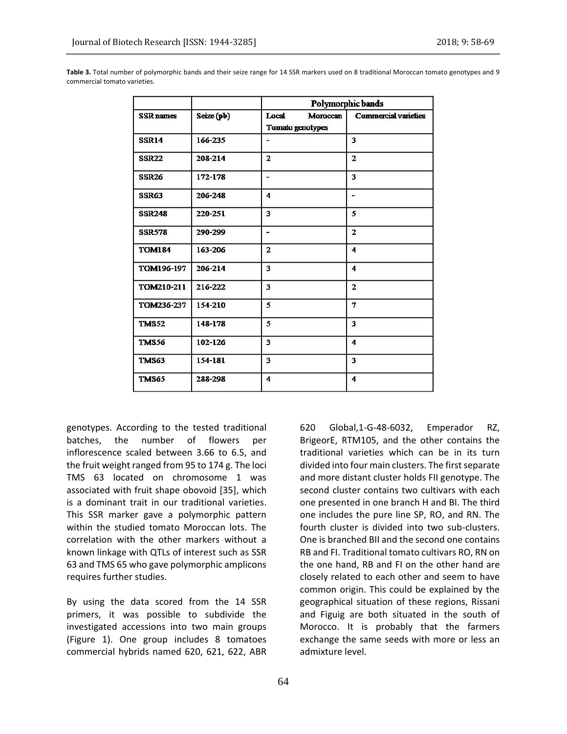|                  |            | Polymorphic bands                            |                             |  |  |
|------------------|------------|----------------------------------------------|-----------------------------|--|--|
| <b>SSR</b> names | Seize (pb) | Local<br>Moroccan<br><b>Tomato genotypes</b> | <b>Commercial varieties</b> |  |  |
| <b>SSR14</b>     | 166-235    |                                              | $\overline{\mathbf{3}}$     |  |  |
| <b>SSR22</b>     | 208-214    | $\overline{2}$                               | $\overline{2}$              |  |  |
| <b>SSR26</b>     | 172-178    | $\overline{\phantom{0}}$                     | $\overline{\mathbf{3}}$     |  |  |
| <b>SSR63</b>     | 206-248    | $\overline{\bf{4}}$                          | ۰                           |  |  |
| <b>SSR248</b>    | 220-251    | $\overline{\mathbf{3}}$                      | 5                           |  |  |
| <b>SSR578</b>    | 290-299    | ÷                                            | $\overline{2}$              |  |  |
| <b>TOM184</b>    | 163-206    | $\overline{2}$                               | 4                           |  |  |
| TOM196-197       | 206-214    | $\overline{\mathbf{3}}$                      | $\boldsymbol{4}$            |  |  |
| TOM210-211       | 216-222    | $\overline{\mathbf{3}}$                      | $\overline{2}$              |  |  |
| TOM236-237       | 154-210    | 5                                            | 7                           |  |  |
| <b>TMS52</b>     | 148-178    | 5                                            | 3                           |  |  |
| <b>TMS56</b>     | 102-126    | $\overline{\mathbf{3}}$                      | $\boldsymbol{4}$            |  |  |
| <b>TMS63</b>     | 154-181    | 3                                            | 3                           |  |  |
| <b>TMS65</b>     | 288-298    | $\overline{\bf{4}}$                          | $\overline{\bf{4}}$         |  |  |

**Table 3.** Total number of polymorphic bands and their seize range for 14 SSR markers used on 8 traditional Moroccan tomato genotypes and 9 commercial tomato varieties.

genotypes. According to the tested traditional batches, the number of flowers per inflorescence scaled between 3.66 to 6.5, and the fruit weight ranged from 95 to 174 g. The loci TMS 63 located on chromosome 1 was associated with fruit shape obovoid [35], which is a dominant trait in our traditional varieties. This SSR marker gave a polymorphic pattern within the studied tomato Moroccan lots. The correlation with the other markers without a known linkage with QTLs of interest such as SSR 63 and TMS 65 who gave polymorphic amplicons requires further studies.

By using the data scored from the 14 SSR primers, it was possible to subdivide the investigated accessions into two main groups (Figure 1). One group includes 8 tomatoes commercial hybrids named 620, 621, 622, ABR

64

620 Global,1-G-48-6032, Emperador RZ, BrigeorE, RTM105, and the other contains the traditional varieties which can be in its turn divided into four main clusters. The first separate and more distant cluster holds FII genotype. The second cluster contains two cultivars with each one presented in one branch H and BI. The third one includes the pure line SP, RO, and RN. The fourth cluster is divided into two sub-clusters. One is branched BII and the second one contains RB and FI. Traditional tomato cultivars RO, RN on the one hand, RB and FI on the other hand are closely related to each other and seem to have common origin. This could be explained by the geographical situation of these regions, Rissani and Figuig are both situated in the south of Morocco. It is probably that the farmers exchange the same seeds with more or less an admixture level.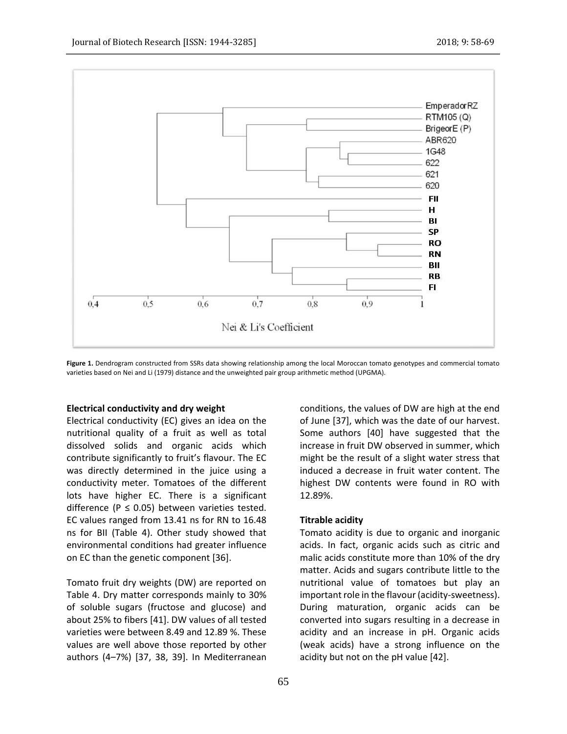

Figure 1. Dendrogram constructed from SSRs data showing relationship among the local Moroccan tomato genotypes and commercial tomato varieties based on Nei and Li (1979) distance and the unweighted pair group arithmetic method (UPGMA).

### **Electrical conductivity and dry weight**

Electrical conductivity (EC) gives an idea on the nutritional quality of a fruit as well as total dissolved solids and organic acids which contribute significantly to fruit's flavour. The EC was directly determined in the juice using a conductivity meter. Tomatoes of the different lots have higher EC. There is a significant difference ( $P \le 0.05$ ) between varieties tested. EC values ranged from 13.41 ns for RN to 16.48 ns for BII (Table 4). Other study showed that environmental conditions had greater influence on EC than the genetic component [36].

Tomato fruit dry weights (DW) are reported on Table 4. Dry matter corresponds mainly to 30% of soluble sugars (fructose and glucose) and about 25% to fibers [41]. DW values of all tested varieties were between 8.49 and 12.89 %. These values are well above those reported by other authors (4–7%) [37, 38, 39]. In Mediterranean conditions, the values of DW are high at the end of June [37], which was the date of our harvest. Some authors [40] have suggested that the increase in fruit DW observed in summer, which might be the result of a slight water stress that induced a decrease in fruit water content. The highest DW contents were found in RO with 12.89%.

# **Titrable acidity**

Tomato acidity is due to organic and inorganic acids. In fact, organic acids such as citric and malic acids constitute more than 10% of the dry matter. Acids and sugars contribute little to the nutritional value of tomatoes but play an important role in the flavour (acidity-sweetness). During maturation, organic acids can be converted into sugars resulting in a decrease in acidity and an increase in pH. Organic acids (weak acids) have a strong influence on the acidity but not on the pH value [42].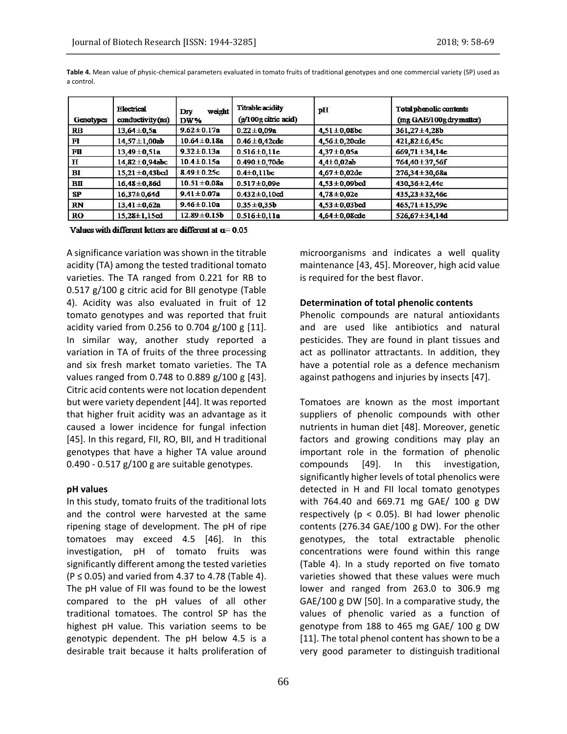| Genotypes | <b>Electrical</b><br>conductivity (ns) | weight<br>Dry<br>DW% | Titrable acidity<br>(g/100g citric acid) | pH                  | Total phenolic contents<br>(mg GAE/100g dry matter) |
|-----------|----------------------------------------|----------------------|------------------------------------------|---------------------|-----------------------------------------------------|
| <b>RB</b> | $13,64 \pm 0.5a$                       | $9.62 \pm 0.17a$     | $0.22 \pm 0.09a$                         | $4,51 \pm 0,08bc$   | $361,27 \pm 4,28b$                                  |
| F1        | $14,57 \pm 1,00ab$                     | $10.64 \pm 0.18$ a   | $0.46 \pm 0.42$ cde                      | $4,56 \pm 0,20$ cde | $421,82 \pm 6,45c$                                  |
| FII       | $13,49 \pm 0,51a$                      | $9.32 \pm 0.13a$     | $0.516 \pm 0.11e$                        | $4,37 \pm 0,05a$    | $669,71 \pm 34,14e$                                 |
| $\bf H$   | $14,82 \pm 0,94$ abc                   | $10.4 \pm 0.15a$     | $0.490 \pm 0,70$ de                      | $4,4 \pm 0,02$ ab   | 764,40±37,56f                                       |
| BI        | $15.21 \pm 0.43$ bcd                   | $8.49 \pm 0.25c$     | $0.4 \pm 0.11$ bc                        | $4.67 \pm 0.02$ de  | $276,34 \pm 30,68a$                                 |
| BП        | $16,48 \pm 0,86$ d                     | $10.51 \pm 0.08a$    | $0.517 \pm 0.09e$                        | $4,53 \pm 0,09$ bcd | $430,36 \pm 2,44c$                                  |
| SP        | $16,37 \pm 0,64$ d                     | $9.41 \pm 0.07a$     | $0.432 \pm 0.10$ cd                      | $4,78 \pm 0,02e$    | $435,23 \pm 32,46c$                                 |
| <b>RN</b> | $13,41 \pm 0,62a$                      | $9.46 \pm 0.10a$     | $0.35 \pm 0.35b$                         | $4.53 \pm 0.03$ bcd | $465,71 \pm 15,99c$                                 |
| <b>RO</b> | $15,28 \pm 1,15$ cd                    | $12.89 \pm 0.15b$    | $0.516 \pm 0.11a$                        | $4,64 \pm 0,08$ cde | 526,67 $\pm$ 34,14d                                 |

**Table 4.** Mean value of physic-chemical parameters evaluated in tomato fruits of traditional genotypes and one commercial variety (SP) used as a control.

Values with different letters are different at  $\alpha$  = 0.05

A significance variation was shown in the titrable acidity (TA) among the tested traditional tomato varieties. The TA ranged from 0.221 for RB to 0.517 g/100 g citric acid for BII genotype (Table 4). Acidity was also evaluated in fruit of 12 tomato genotypes and was reported that fruit acidity varied from 0.256 to 0.704 g/100 g [11]. In similar way, another study reported a variation in TA of fruits of the three processing and six fresh market tomato varieties. The TA values ranged from 0.748 to 0.889 g/100 g [43]. Citric acid contents were not location dependent but were variety dependent [44]. It was reported that higher fruit acidity was an advantage as it caused a lower incidence for fungal infection [45]. In this regard, FII, RO, BII, and H traditional genotypes that have a higher TA value around 0.490 - 0.517 g/100 g are suitable genotypes.

### **pH values**

In this study, tomato fruits of the traditional lots and the control were harvested at the same ripening stage of development. The pH of ripe tomatoes may exceed 4.5 [46]. In this investigation, pH of tomato fruits was significantly different among the tested varieties  $(P ≤ 0.05)$  and varied from 4.37 to 4.78 (Table 4). The pH value of FII was found to be the lowest compared to the pH values of all other traditional tomatoes. The control SP has the highest pH value. This variation seems to be genotypic dependent. The pH below 4.5 is a desirable trait because it halts proliferation of microorganisms and indicates a well quality maintenance [43, 45]. Moreover, high acid value is required for the best flavor.

### **Determination of total phenolic contents**

Phenolic compounds are natural antioxidants and are used like antibiotics and natural pesticides. They are found in plant tissues and act as pollinator attractants. In addition, they have a potential role as a defence mechanism against pathogens and injuries by insects [47].

Tomatoes are known as the most important suppliers of phenolic compounds with other nutrients in human diet [48]. Moreover, genetic factors and growing conditions may play an important role in the formation of phenolic compounds [49]. In this investigation, significantly higher levels of total phenolics were detected in H and FII local tomato genotypes with 764.40 and 669.71 mg GAE/ 100 g DW respectively ( $p < 0.05$ ). BI had lower phenolic contents (276.34 GAE/100 g DW). For the other genotypes, the total extractable phenolic concentrations were found within this range (Table 4). In a study reported on five tomato varieties showed that these values were much lower and ranged from 263.0 to 306.9 mg GAE/100 g DW [50]. In a comparative study, the values of phenolic varied as a function of genotype from 188 to 465 mg GAE/ 100 g DW [11]. The total phenol content has shown to be a very good parameter to distinguish traditional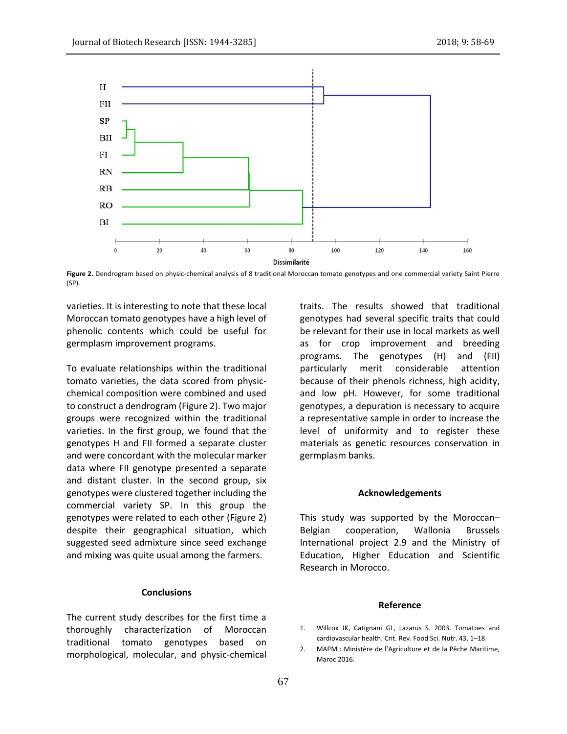

**Figure 2.** Dendrogram based on physic-chemical analysis of 8 traditional Moroccan tomato genotypes and one commercial variety Saint Pierre (SP).

varieties. It is interesting to note that these local Moroccan tomato genotypes have a high level of phenolic contents which could be useful for germplasm improvement programs.

To evaluate relationships within the traditional tomato varieties, the data scored from physicchemical composition were combined and used to construct a dendrogram (Figure 2). Two major groups were recognized within the traditional varieties. In the first group, we found that the genotypes H and FII formed a separate cluster and were concordant with the molecular marker data where FII genotype presented a separate and distant cluster. In the second group, six genotypes were clustered together including the commercial variety SP. In this group the genotypes were related to each other (Figure 2) despite their geographical situation, which suggested seed admixture since seed exchange and mixing was quite usual among the farmers.

# **Conclusions**

The current study describes for the first time a thoroughly characterization of Moroccan traditional tomato genotypes based on morphological, molecular, and physic-chemical traits. The results showed that traditional genotypes had several specific traits that could be relevant for their use in local markets as well as for crop improvement and breeding programs. The genotypes (H) and (FII) particularly merit considerable attention because of their phenols richness, high acidity, and low pH. However, for some traditional genotypes, a depuration is necessary to acquire a representative sample in order to increase the level of uniformity and to register these materials as genetic resources conservation in germplasm banks.

### **Acknowledgements**

This study was supported by the Moroccan– Belgian cooperation, Wallonia Brussels International project 2.9 and the Ministry of Education, Higher Education and Scientific Research in Morocco.

### **Reference**

- 1. Willcox JK, Catignani GL, Lazarus S. 2003. Tomatoes and cardiovascular health. Crit. Rev. Food Sci. Nutr. 43, 1–18.
- 2. MAPM : Ministère de l'Agriculture et de la Pêche Maritime, Maroc 2016.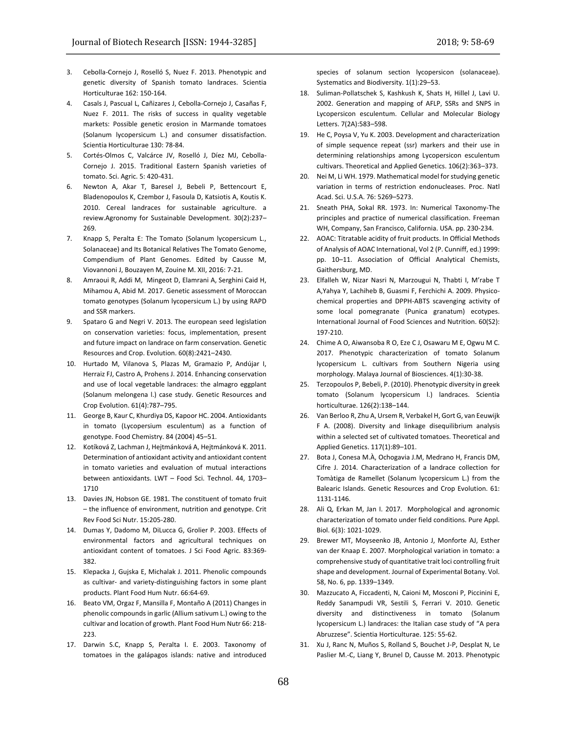- 3. Cebolla-Cornejo J, Roselló S, Nuez F. 2013. Phenotypic and genetic diversity of Spanish tomato landraces. Scientia Horticulturae 162: 150-164.
- 4. Casals J, Pascual L, Cañizares J, Cebolla-Cornejo J, Casañas F, Nuez F. 2011. The risks of success in quality vegetable markets: Possible genetic erosion in Marmande tomatoes (Solanum lycopersicum L.) and consumer dissatisfaction. Scientia Horticulturae 130: 78-84.
- 5. Cortés-Olmos C, Valcárce JV, Roselló J, Díez MJ, Cebolla-Cornejo J. 2015. Traditional Eastern Spanish varieties of tomato. Sci. Agric. 5: 420-431.
- 6. Newton A, Akar T, Baresel J, Bebeli P, Bettencourt E, Bladenopoulos K, Czembor J, Fasoula D, Katsiotis A, Koutis K. 2010. Cereal landraces for sustainable agriculture. a review.Agronomy for Sustainable Development. 30(2):237– 269.
- 7. Knapp S, Peralta E: The Tomato (Solanum lycopersicum L., Solanaceae) and Its Botanical Relatives The Tomato Genome, Compendium of Plant Genomes. Edited by Causse M, Viovannoni J, Bouzayen M, Zouine M. XII, 2016: 7-21.
- 8. Amraoui R, Addi M, Mingeot D, Elamrani A, Serghini Caid H, Mihamou A, Abid M. 2017. Genetic assessment of Moroccan tomato genotypes (Solanum lycopersicum L.) by using RAPD and SSR markers.
- 9. Spataro G and Negri V. 2013. The european seed legislation on conservation varieties: focus, implementation, present and future impact on landrace on farm conservation. Genetic Resources and Crop. Evolution. 60(8):2421–2430.
- 10. Hurtado M, Vilanova S, Plazas M, Gramazio P, Andújar I, Herraiz FJ, Castro A, Prohens J. 2014. Enhancing conservation and use of local vegetable landraces: the almagro eggplant (Solanum melongena l.) case study. Genetic Resources and Crop Evolution. 61(4):787–795.
- 11. George B, Kaur C, Khurdiya DS, Kapoor HC. 2004. Antioxidants in tomato (Lycopersium esculentum) as a function of genotype. Food Chemistry. 84 (2004) 45–51.
- 12. Kotíková Z, Lachman J, Hejtmánková A, Hejtmánková K. 2011. Determination of antioxidant activity and antioxidant content in tomato varieties and evaluation of mutual interactions between antioxidants. LWT – Food Sci. Technol. 44, 1703– 1710
- 13. Davies JN, Hobson GE. 1981. The constituent of tomato fruit – the influence of environment, nutrition and genotype. Crit Rev Food Sci Nutr. 15:205-280.
- 14. Dumas Y, Dadomo M, DiLucca G, Grolier P. 2003. Effects of environmental factors and agricultural techniques on antioxidant content of tomatoes. J Sci Food Agric. 83:369- 382.
- 15. Klepacka J, Gujska E, Michalak J. 2011. Phenolic compounds as cultivar- and variety-distinguishing factors in some plant products. Plant Food Hum Nutr. 66:64-69.
- 16. Beato VM, Orgaz F, Mansilla F, Montaño A (2011) Changes in phenolic compounds in garlic (Allium sativum L.) owing to the cultivar and location of growth. Plant Food Hum Nutr 66: 218- 223.
- 17. Darwin S.C, Knapp S, Peralta I. E. 2003. Taxonomy of tomatoes in the galápagos islands: native and introduced

species of solanum section lycopersicon (solanaceae). Systematics and Biodiversity. 1(1):29–53.

- 18. Suliman-Pollatschek S, Kashkush K, Shats H, Hillel J, Lavi U. 2002. Generation and mapping of AFLP, SSRs and SNPS in Lycopersicon esculentum. Cellular and Molecular Biology Letters. 7(2A):583–598.
- 19. He C, Poysa V, Yu K. 2003. Development and characterization of simple sequence repeat (ssr) markers and their use in determining relationships among Lycopersicon esculentum cultivars. Theoretical and Applied Genetics. 106(2):363–373.
- 20. Nei M, Li WH. 1979. Mathematical model for studying genetic variation in terms of restriction endonucleases. Proc. Natl Acad. Sci. U.S.A. 76: 5269–5273.
- 21. Sneath PHA, Sokal RR. 1973. In: Numerical Taxonomy-The principles and practice of numerical classification. Freeman WH, Company, San Francisco, California. USA. pp. 230-234.
- 22. AOAC: Titratable acidity of fruit products. In Official Methods of Analysis of AOAC International, Vol 2 (P. Cunniff, ed.) 1999: pp. 10–11. Association of Official Analytical Chemists, Gaithersburg, MD.
- 23. Elfalleh W, Nizar Nasri N, Marzougui N, Thabti I, M'rabe T A,Yahya Y, Lachiheb B, Guasmi F, Ferchichi A. 2009. Physicochemical properties and DPPH-ABTS scavenging activity of some local pomegranate (Punica granatum) ecotypes. International Journal of Food Sciences and Nutrition. 60(S2): 197-210.
- 24. Chime A O, Aiwansoba R O, Eze C J, Osawaru M E, Ogwu M C. 2017. Phenotypic characterization of tomato Solanum lycopersicum L. cultivars from Southern Nigeria using morphology. Malaya Journal of Biosciences. 4(1):30-38.
- 25. Terzopoulos P, Bebeli, P. (2010). Phenotypic diversity in greek tomato (Solanum lycopersicum l.) landraces. Scientia horticulturae. 126(2):138–144.
- 26. Van Berloo R, Zhu A, Ursem R, Verbakel H, Gort G, van Eeuwijk F A. (2008). Diversity and linkage disequilibrium analysis within a selected set of cultivated tomatoes. Theoretical and Applied Genetics. 117(1):89–101.
- 27. Bota J, Conesa M.À, Ochogavia J.M, Medrano H, Francis DM, Cifre J. 2014. Characterization of a landrace collection for Tomàtiga de Ramellet (Solanum lycopersicum L.) from the Balearic Islands. Genetic Resources and Crop Evolution. 61: 1131-1146.
- 28. Ali Q, Erkan M, Jan I. 2017. Morphological and agronomic characterization of tomato under field conditions. Pure Appl. Biol. 6(3): 1021-1029.
- 29. Brewer MT, Moyseenko JB, Antonio J, Monforte AJ, Esther van der Knaap E. 2007. Morphological variation in tomato: a comprehensive study of quantitative trait loci controlling fruit shape and development. Journal of Experimental Botany. Vol. 58, No. 6, pp. 1339–1349.
- 30. Mazzucato A, Ficcadenti, N, Caioni M, Mosconi P, Piccinini E, Reddy Sanampudi VR, Sestili S, Ferrari V. 2010. Genetic diversity and distinctiveness in tomato (Solanum lycopersicum L.) landraces: the Italian case study of "A pera Abruzzese". Scientia Horticulturae. 125: 55-62.
- 31. Xu J, Ranc N, Muños S, Rolland S, Bouchet J-P, Desplat N, Le Paslier M.-C, Liang Y, Brunel D, Causse M. 2013. Phenotypic